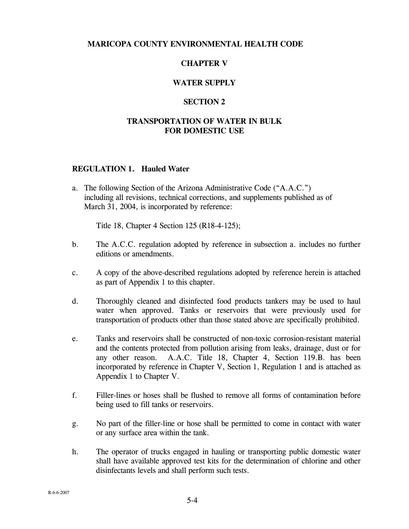# **MARICOPA COUNTY ENVIRONMENTAL HEALTH CODE**

## **CHAPTER V**

### **WATER SUPPLY**

#### **SECTION 2**

## **TRANSPORTATION OF WATER IN BULK FOR DOMESTIC USE**

#### **REGULATION 1. Hauled Water**

a. The following Section of the Arizona Administrative Code ("A.A.C.") including all revisions, technical corrections, and supplements published as of March 31, 2004, is incorporated by reference:

Title 18, Chapter 4 Section 125 (R18-4-125);

- b. The A.C.C. regulation adopted by reference in subsection a. includes no further editions or amendments.
- c. A copy of the above-described regulations adopted by reference herein is attached as part of Appendix 1 to this chapter.
- d. Thoroughly cleaned and disinfected food products tankers may be used to haul water when approved. Tanks or reservoirs that were previously used for transportation of products other than those stated above are specifically prohibited.
- e. Tanks and reservoirs shall be constructed of non-toxic corrosion-resistant material and the contents protected from pollution arising from leaks, drainage, dust or for any other reason. A.A.C. Title 18, Chapter 4, Section 119.B. has been incorporated by reference in Chapter V, Section 1, Regulation 1 and is attached as Appendix 1 to Chapter V.
- f. Filler-lines or hoses shall be flushed to remove all forms of contamination before being used to fill tanks or reservoirs.
- g. No part of the filler-line or hose shall be permitted to come in contact with water or any surface area within the tank.
- h. The operator of trucks engaged in hauling or transporting public domestic water shall have available approved test kits for the determination of chlorine and other disinfectants levels and shall perform such tests.